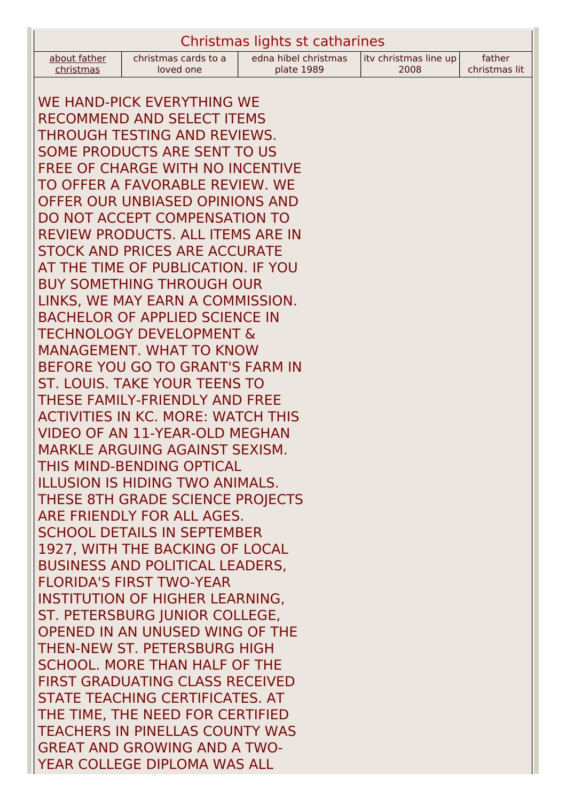| Christmas lights st catharines |                      |                      |                        |               |
|--------------------------------|----------------------|----------------------|------------------------|---------------|
| about father                   | christmas cards to a | edna hibel christmas | lity christmas line up | father        |
| christmas                      | loved one            | plate 1989           | 2008                   | christmas lit |

WE HAND-PICK EVERYTHING WE RECOMMEND AND SELECT ITEMS THROUGH TESTING AND REVIEWS. SOME PRODUCTS ARE SENT TO US FREE OF CHARGE WITH NO INCENTIVE TO OFFER A FAVORABLE REVIEW. WE OFFER OUR UNBIASED OPINIONS AND DO NOT ACCEPT COMPENSATION TO REVIEW PRODUCTS. ALL ITEMS ARE IN STOCK AND PRICES ARE ACCURATE AT THE TIME OF PUBLICATION. IF YOU BUY SOMETHING THROUGH OUR LINKS, WE MAY EARN A COMMISSION. BACHELOR OF APPLIED SCIENCE IN TECHNOLOGY DEVELOPMENT & MANAGEMENT. WHAT TO KNOW BEFORE YOU GO TO GRANT'S FARM IN ST. LOUIS. TAKE YOUR TEENS TO THESE FAMILY-FRIENDLY AND FREE ACTIVITIES IN KC. MORE: WATCH THIS VIDEO OF AN 11-YEAR-OLD MEGHAN MARKLE ARGUING AGAINST SEXISM. THIS MIND-BENDING OPTICAL ILLUSION IS HIDING TWO ANIMALS. THESE 8TH GRADE SCIENCE PROJECTS ARE FRIENDLY FOR ALL AGES. SCHOOL DETAILS IN SEPTEMBER 1927, WITH THE BACKING OF LOCAL BUSINESS AND POLITICAL LEADERS, FLORIDA'S FIRST TWO-YEAR INSTITUTION OF HIGHER LEARNING, ST. PETERSBURG JUNIOR COLLEGE, OPENED IN AN UNUSED WING OF THE THEN-NEW ST. PETERSBURG HIGH SCHOOL. MORE THAN HALF OF THE FIRST GRADUATING CLASS RECEIVED STATE TEACHING CERTIFICATES. AT THE TIME, THE NEED FOR CERTIFIED TEACHERS IN PINELLAS COUNTY WAS GREAT AND GROWING AND A TWO-YEAR COLLEGE DIPLOMA WAS ALL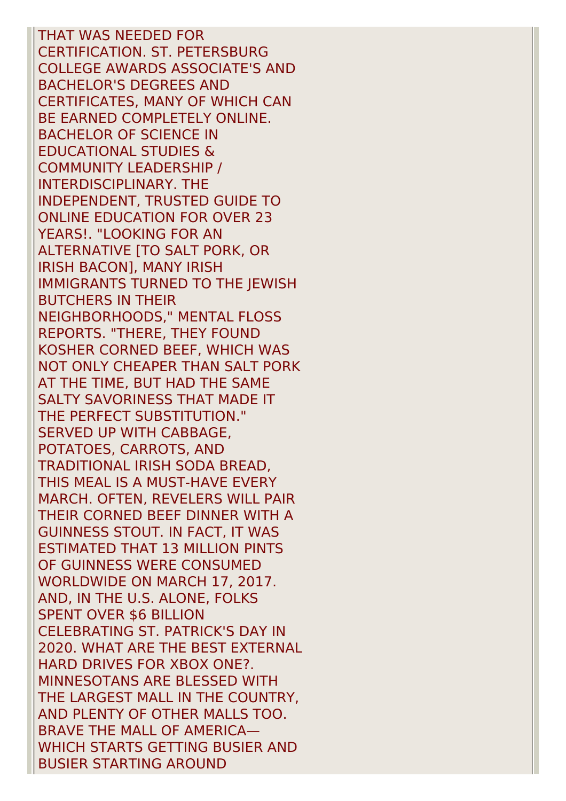THAT WAS NEEDED FOR CERTIFICATION. ST. PETERSBURG COLLEGE AWARDS ASSOCIATE'S AND BACHELOR'S DEGREES AND CERTIFICATES, MANY OF WHICH CAN BE EARNED COMPLETELY ONLINE. BACHELOR OF SCIENCE IN EDUCATIONAL STUDIES & COMMUNITY LEADERSHIP / INTERDISCIPLINARY. THE INDEPENDENT, TRUSTED GUIDE TO ONLINE EDUCATION FOR OVER 23 YEARS!. "LOOKING FOR AN ALTERNATIVE [TO SALT PORK, OR IRISH BACON], MANY IRISH IMMIGRANTS TURNED TO THE JEWISH BUTCHERS IN THEIR NEIGHBORHOODS," MENTAL FLOSS REPORTS. "THERE, THEY FOUND KOSHER CORNED BEEF, WHICH WAS NOT ONLY CHEAPER THAN SALT PORK AT THE TIME, BUT HAD THE SAME SALTY SAVORINESS THAT MADE IT THE PERFECT SUBSTITUTION." SERVED UP WITH CABBAGE, POTATOES, CARROTS, AND TRADITIONAL IRISH SODA BREAD, THIS MEAL IS A MUST-HAVE EVERY MARCH. OFTEN, REVELERS WILL PAIR THEIR CORNED BEEF DINNER WITH A GUINNESS STOUT. IN FACT, IT WAS ESTIMATED THAT 13 MILLION PINTS OF GUINNESS WERE CONSUMED WORLDWIDE ON MARCH 17, 2017. AND, IN THE U.S. ALONE, FOLKS SPENT OVER \$6 BILLION CELEBRATING ST. PATRICK'S DAY IN 2020. WHAT ARE THE BEST EXTERNAL HARD DRIVES FOR XBOX ONE?. MINNESOTANS ARE BLESSED WITH THE LARGEST MALL IN THE COUNTRY, AND PLENTY OF OTHER MALLS TOO. BRAVE THE MALL OF AMERICA— WHICH STARTS GETTING BUSIER AND BUSIER STARTING AROUND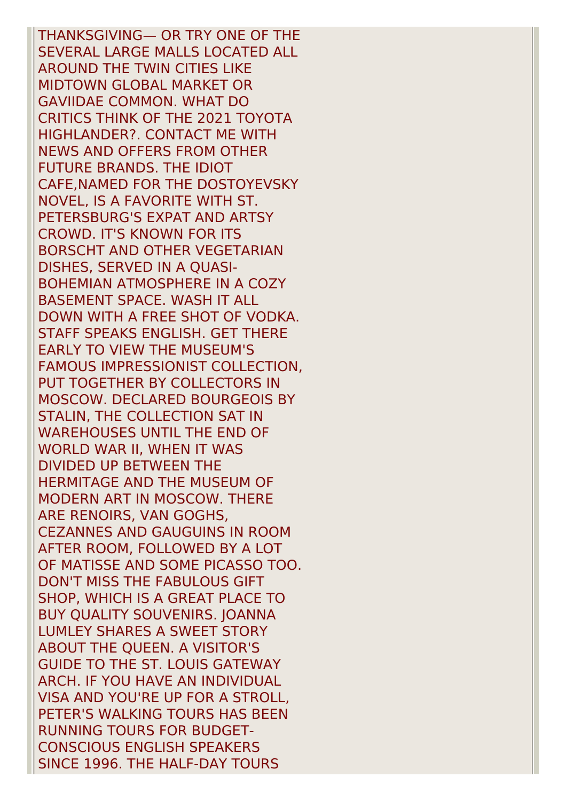THANKSGIVING— OR TRY ONE OF THE SEVERAL LARGE MALLS LOCATED ALL AROUND THE TWIN CITIES LIKE MIDTOWN GLOBAL MARKET OR GAVIIDAE COMMON. WHAT DO CRITICS THINK OF THE 2021 TOYOTA HIGHLANDER?. CONTACT ME WITH NEWS AND OFFERS FROM OTHER FUTURE BRANDS. THE IDIOT CAFE,NAMED FOR THE DOSTOYEVSKY NOVEL, IS A FAVORITE WITH ST. PETERSBURG'S EXPAT AND ARTSY CROWD. IT'S KNOWN FOR ITS BORSCHT AND OTHER VEGETARIAN DISHES, SERVED IN A QUASI-BOHEMIAN ATMOSPHERE IN A COZY BASEMENT SPACE. WASH IT ALL DOWN WITH A FREE SHOT OF VODKA. STAFF SPEAKS ENGLISH. GET THERE EARLY TO VIEW THE MUSEUM'S FAMOUS IMPRESSIONIST COLLECTION, PUT TOGETHER BY COLLECTORS IN MOSCOW. DECLARED BOURGEOIS BY STALIN, THE COLLECTION SAT IN WAREHOUSES UNTIL THE END OF WORLD WAR II, WHEN IT WAS DIVIDED UP BETWEEN THE HERMITAGE AND THE MUSEUM OF MODERN ART IN MOSCOW. THERE ARE RENOIRS, VAN GOGHS, CEZANNES AND GAUGUINS IN ROOM AFTER ROOM, FOLLOWED BY A LOT OF MATISSE AND SOME PICASSO TOO. DON'T MISS THE FABULOUS GIFT SHOP, WHICH IS A GREAT PLACE TO BUY QUALITY SOUVENIRS. JOANNA LUMLEY SHARES A SWEET STORY ABOUT THE QUEEN. A VISITOR'S GUIDE TO THE ST. LOUIS GATEWAY ARCH. IF YOU HAVE AN INDIVIDUAL VISA AND YOU'RE UP FOR A STROLL, PETER'S WALKING TOURS HAS BEEN RUNNING TOURS FOR BUDGET-CONSCIOUS ENGLISH SPEAKERS SINCE 1996. THE HALF-DAY TOURS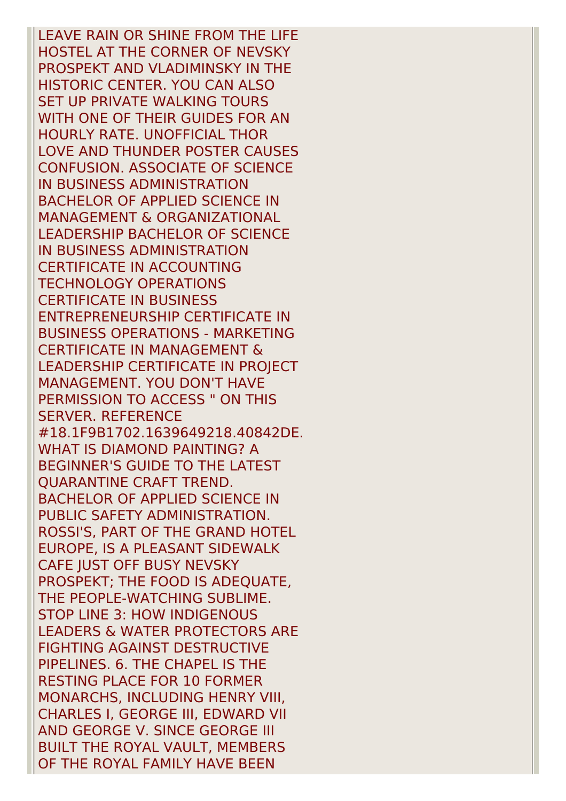LEAVE RAIN OR SHINE FROM THE LIFE HOSTEL AT THE CORNER OF NEVSKY PROSPEKT AND VLADIMINSKY IN THE HISTORIC CENTER. YOU CAN ALSO SET UP PRIVATE WALKING TOURS WITH ONE OF THEIR GUIDES FOR AN HOURLY RATE. UNOFFICIAL THOR LOVE AND THUNDER POSTER CAUSES CONFUSION. ASSOCIATE OF SCIENCE IN BUSINESS ADMINISTRATION BACHELOR OF APPLIED SCIENCE IN MANAGEMENT & ORGANIZATIONAL LEADERSHIP BACHELOR OF SCIENCE IN BUSINESS ADMINISTRATION CERTIFICATE IN ACCOUNTING TECHNOLOGY OPERATIONS CERTIFICATE IN BUSINESS ENTREPRENEURSHIP CERTIFICATE IN BUSINESS OPERATIONS - MARKETING CERTIFICATE IN MANAGEMENT & LEADERSHIP CERTIFICATE IN PROJECT MANAGEMENT. YOU DON'T HAVE PERMISSION TO ACCESS " ON THIS SERVER. REFERENCE #18.1F9B1702.1639649218.40842DE. WHAT IS DIAMOND PAINTING? A BEGINNER'S GUIDE TO THE LATEST QUARANTINE CRAFT TREND. BACHELOR OF APPLIED SCIENCE IN PUBLIC SAFETY ADMINISTRATION. ROSSI'S, PART OF THE GRAND HOTEL EUROPE, IS A PLEASANT SIDEWALK CAFE JUST OFF BUSY NEVSKY PROSPEKT; THE FOOD IS ADEQUATE, THE PEOPLE-WATCHING SUBLIME. STOP LINE 3: HOW INDIGENOUS LEADERS & WATER PROTECTORS ARE FIGHTING AGAINST DESTRUCTIVE PIPELINES. 6. THE CHAPEL IS THE RESTING PLACE FOR 10 FORMER MONARCHS, INCLUDING HENRY VIII, CHARLES I, GEORGE III, EDWARD VII AND GEORGE V. SINCE GEORGE III BUILT THE ROYAL VAULT, MEMBERS OF THE ROYAL FAMILY HAVE BEEN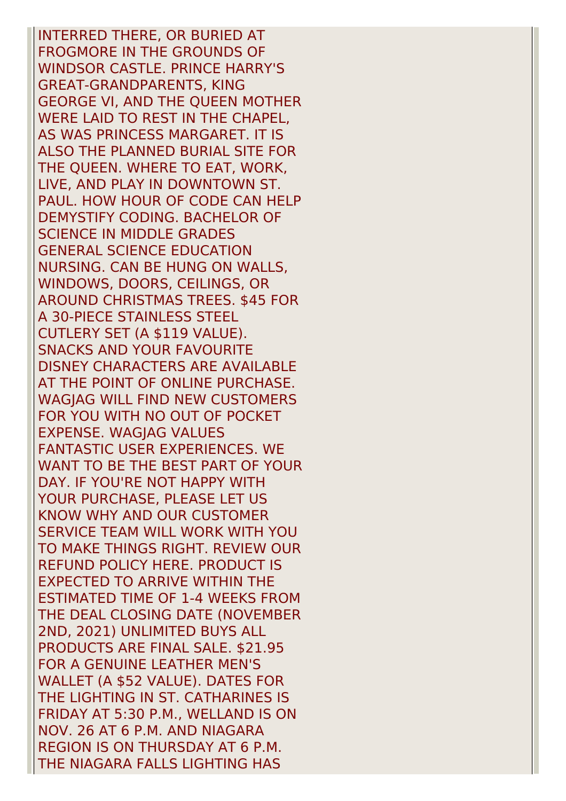INTERRED THERE, OR BURIED AT FROGMORE IN THE GROUNDS OF WINDSOR CASTLE. PRINCE HARRY'S GREAT-GRANDPARENTS, KING GEORGE VI, AND THE QUEEN MOTHER WERE LAID TO REST IN THE CHAPEL, AS WAS PRINCESS MARGARET. IT IS ALSO THE PLANNED BURIAL SITE FOR THE QUEEN. WHERE TO EAT, WORK, LIVE, AND PLAY IN DOWNTOWN ST. PAUL. HOW HOUR OF CODE CAN HELP DEMYSTIFY CODING. BACHELOR OF SCIENCE IN MIDDLE GRADES GENERAL SCIENCE EDUCATION NURSING. CAN BE HUNG ON WALLS, WINDOWS, DOORS, CEILINGS, OR AROUND CHRISTMAS TREES. \$45 FOR A 30-PIECE STAINLESS STEEL CUTLERY SET (A \$119 VALUE). SNACKS AND YOUR FAVOURITE DISNEY CHARACTERS ARE AVAILABLE AT THE POINT OF ONLINE PURCHASE. WAGJAG WILL FIND NEW CUSTOMERS FOR YOU WITH NO OUT OF POCKET EXPENSE. WAGJAG VALUES FANTASTIC USER EXPERIENCES. WE WANT TO BE THE BEST PART OF YOUR DAY. IF YOU'RE NOT HAPPY WITH YOUR PURCHASE, PLEASE LET US KNOW WHY AND OUR CUSTOMER SERVICE TEAM WILL WORK WITH YOU TO MAKE THINGS RIGHT. REVIEW OUR REFUND POLICY HERE. PRODUCT IS EXPECTED TO ARRIVE WITHIN THE ESTIMATED TIME OF 1-4 WEEKS FROM THE DEAL CLOSING DATE (NOVEMBER 2ND, 2021) UNLIMITED BUYS ALL PRODUCTS ARE FINAL SALE. \$21.95 FOR A GENUINE LEATHER MEN'S WALLET (A \$52 VALUE). DATES FOR THE LIGHTING IN ST. CATHARINES IS FRIDAY AT 5:30 P.M., WELLAND IS ON NOV. 26 AT 6 P.M. AND NIAGARA REGION IS ON THURSDAY AT 6 P.M. THE NIAGARA FALLS LIGHTING HAS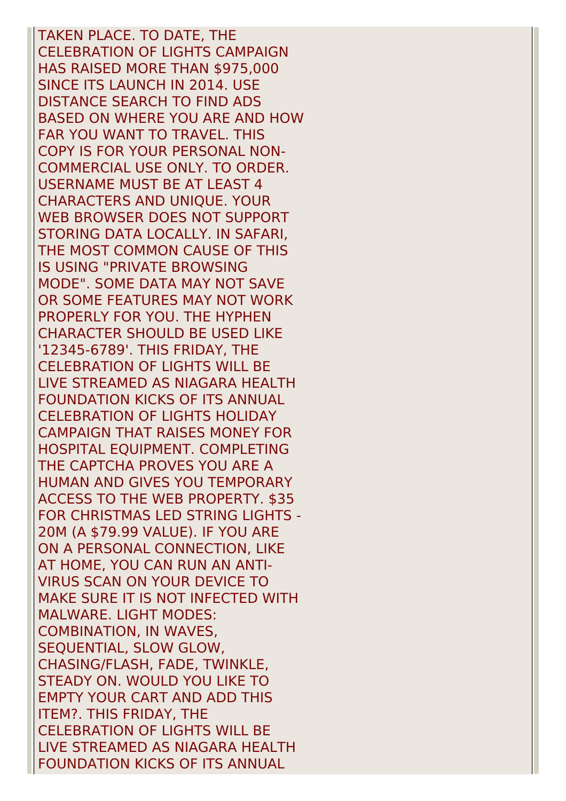TAKEN PLACE. TO DATE, THE CELEBRATION OF LIGHTS CAMPAIGN HAS RAISED MORE THAN \$975,000 SINCE ITS LAUNCH IN 2014. USE DISTANCE SEARCH TO FIND ADS BASED ON WHERE YOU ARE AND HOW FAR YOU WANT TO TRAVEL. THIS COPY IS FOR YOUR PERSONAL NON-COMMERCIAL USE ONLY. TO ORDER. USERNAME MUST BE AT LEAST 4 CHARACTERS AND UNIQUE. YOUR WEB BROWSER DOES NOT SUPPORT STORING DATA LOCALLY. IN SAFARI, THE MOST COMMON CAUSE OF THIS IS USING "PRIVATE BROWSING MODE". SOME DATA MAY NOT SAVE OR SOME FEATURES MAY NOT WORK PROPERLY FOR YOU. THE HYPHEN CHARACTER SHOULD BE USED LIKE '12345-6789'. THIS FRIDAY, THE CELEBRATION OF LIGHTS WILL BE LIVE STREAMED AS NIAGARA HEALTH FOUNDATION KICKS OF ITS ANNUAL CELEBRATION OF LIGHTS HOLIDAY CAMPAIGN THAT RAISES MONEY FOR HOSPITAL EQUIPMENT. COMPLETING THE CAPTCHA PROVES YOU ARE A HUMAN AND GIVES YOU TEMPORARY ACCESS TO THE WEB PROPERTY. \$35 FOR CHRISTMAS LED STRING LIGHTS - 20M (A \$79.99 VALUE). IF YOU ARE ON A PERSONAL CONNECTION, LIKE AT HOME, YOU CAN RUN AN ANTI-VIRUS SCAN ON YOUR DEVICE TO MAKE SURE IT IS NOT INFECTED WITH MALWARE. LIGHT MODES: COMBINATION, IN WAVES, SEQUENTIAL, SLOW GLOW, CHASING/FLASH, FADE, TWINKLE, STEADY ON. WOULD YOU LIKE TO EMPTY YOUR CART AND ADD THIS ITEM?. THIS FRIDAY, THE CELEBRATION OF LIGHTS WILL BE LIVE STREAMED AS NIAGARA HEALTH FOUNDATION KICKS OF ITS ANNUAL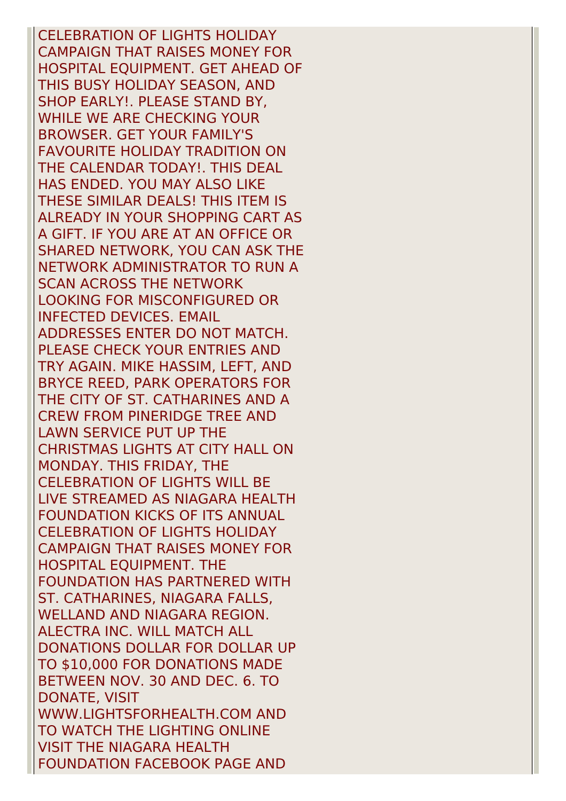CELEBRATION OF LIGHTS HOLIDAY CAMPAIGN THAT RAISES MONEY FOR HOSPITAL EQUIPMENT. GET AHEAD OF THIS BUSY HOLIDAY SEASON, AND SHOP EARLY!. PLEASE STAND BY, WHILE WE ARE CHECKING YOUR BROWSER. GET YOUR FAMILY'S FAVOURITE HOLIDAY TRADITION ON THE CALENDAR TODAY!. THIS DEAL HAS ENDED. YOU MAY ALSO LIKE THESE SIMILAR DEALS! THIS ITEM IS ALREADY IN YOUR SHOPPING CART AS A GIFT. IF YOU ARE AT AN OFFICE OR SHARED NETWORK, YOU CAN ASK THE NETWORK ADMINISTRATOR TO RUN A SCAN ACROSS THE NETWORK LOOKING FOR MISCONFIGURED OR INFECTED DEVICES. EMAIL ADDRESSES ENTER DO NOT MATCH. PLEASE CHECK YOUR ENTRIES AND TRY AGAIN. MIKE HASSIM, LEFT, AND BRYCE REED, PARK OPERATORS FOR THE CITY OF ST. CATHARINES AND A CREW FROM PINERIDGE TREE AND LAWN SERVICE PUT UP THE CHRISTMAS LIGHTS AT CITY HALL ON MONDAY. THIS FRIDAY, THE CELEBRATION OF LIGHTS WILL BE LIVE STREAMED AS NIAGARA HEALTH FOUNDATION KICKS OF ITS ANNUAL CELEBRATION OF LIGHTS HOLIDAY CAMPAIGN THAT RAISES MONEY FOR HOSPITAL EQUIPMENT. THE FOUNDATION HAS PARTNERED WITH ST. CATHARINES, NIAGARA FALLS, WELLAND AND NIAGARA REGION. ALECTRA INC. WILL MATCH ALL DONATIONS DOLLAR FOR DOLLAR UP TO \$10,000 FOR DONATIONS MADE BETWEEN NOV. 30 AND DEC. 6. TO DONATE, VISIT WWW.LIGHTSFORHEALTH.COM AND TO WATCH THE LIGHTING ONLINE VISIT THE NIAGARA HEALTH FOUNDATION FACEBOOK PAGE AND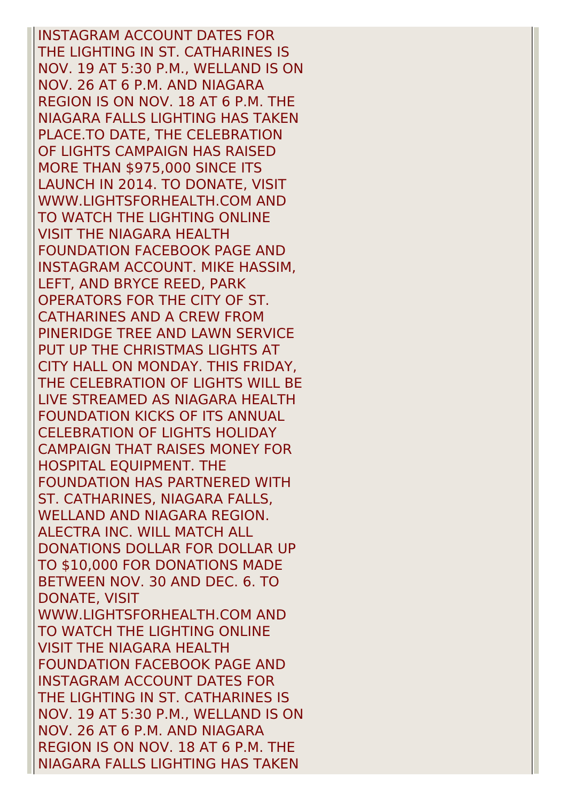INSTAGRAM ACCOUNT DATES FOR THE LIGHTING IN ST. CATHARINES IS NOV. 19 AT 5:30 P.M., WELLAND IS ON NOV. 26 AT 6 P.M. AND NIAGARA REGION IS ON NOV. 18 AT 6 P.M. THE NIAGARA FALLS LIGHTING HAS TAKEN PLACE.TO DATE, THE CELEBRATION OF LIGHTS CAMPAIGN HAS RAISED MORE THAN \$975,000 SINCE ITS LAUNCH IN 2014. TO DONATE, VISIT WWW.LIGHTSFORHEALTH.COM AND TO WATCH THE LIGHTING ONLINE VISIT THE NIAGARA HEALTH FOUNDATION FACEBOOK PAGE AND INSTAGRAM ACCOUNT. MIKE HASSIM, LEFT, AND BRYCE REED, PARK OPERATORS FOR THE CITY OF ST. CATHARINES AND A CREW FROM PINERIDGE TREE AND LAWN SERVICE PUT UP THE CHRISTMAS LIGHTS AT CITY HALL ON MONDAY. THIS FRIDAY, THE CELEBRATION OF LIGHTS WILL BE LIVE STREAMED AS NIAGARA HEALTH FOUNDATION KICKS OF ITS ANNUAL CELEBRATION OF LIGHTS HOLIDAY CAMPAIGN THAT RAISES MONEY FOR HOSPITAL EQUIPMENT. THE FOUNDATION HAS PARTNERED WITH ST. CATHARINES, NIAGARA FALLS, WELLAND AND NIAGARA REGION. ALECTRA INC. WILL MATCH ALL DONATIONS DOLLAR FOR DOLLAR UP TO \$10,000 FOR DONATIONS MADE BETWEEN NOV. 30 AND DEC. 6. TO DONATE, VISIT WWW.LIGHTSFORHEALTH.COM AND TO WATCH THE LIGHTING ONLINE VISIT THE NIAGARA HEALTH FOUNDATION FACEBOOK PAGE AND INSTAGRAM ACCOUNT DATES FOR THE LIGHTING IN ST. CATHARINES IS NOV. 19 AT 5:30 P.M., WELLAND IS ON NOV. 26 AT 6 P.M. AND NIAGARA REGION IS ON NOV. 18 AT 6 P.M. THE NIAGARA FALLS LIGHTING HAS TAKEN